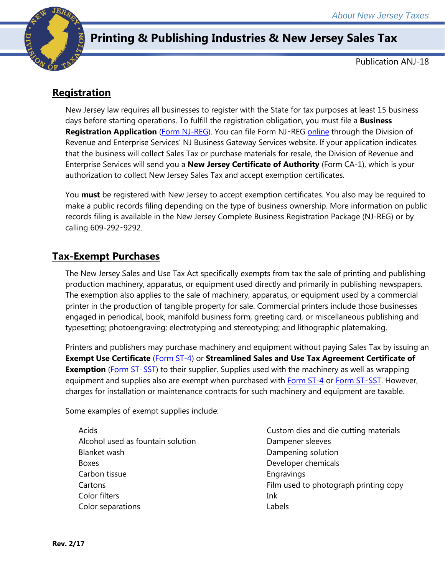

# **Printing & Publishing Industries & New Jersey Sales Tax**

Publication ANJ-18

# **Registration**

New Jersey law requires all businesses to register with the State for tax purposes at least 15 business days before starting operations. To fulfill the registration obligation, you must file a **Business Registration Application** [\(Form NJ-REG\)](http://www.state.nj.us/treasury/revenue/revprnt.shtml). You can file Form NJ‑REG [online](http://www.state.nj.us/treasury/revenue/gettingregistered.shtml) through the Division of Revenue and Enterprise Services' NJ Business Gateway Services website. If your application indicates that the business will collect Sales Tax or purchase materials for resale, the Division of Revenue and Enterprise Services will send you a **New Jersey Certificate of Authority** (Form CA-1), which is your authorization to collect New Jersey Sales Tax and accept exemption certificates.

You **must** be registered with New Jersey to accept exemption certificates. You also may be required to make a public records filing depending on the type of business ownership. More information on public records filing is available in the New Jersey Complete Business Registration Package (NJ-REG) or by calling 609-292-9292.

#### **Tax-Exempt Purchases**

The New Jersey Sales and Use Tax Act specifically exempts from tax the sale of printing and publishing production machinery, apparatus, or equipment used directly and primarily in publishing newspapers. The exemption also applies to the sale of machinery, apparatus, or equipment used by a commercial printer in the production of tangible property for sale. Commercial printers include those businesses engaged in periodical, book, manifold business form, greeting card, or miscellaneous publishing and typesetting; photoengraving; electrotyping and stereotyping; and lithographic platemaking.

Printers and publishers may purchase machinery and equipment without paying Sales Tax by issuing an **Exempt Use Certificate** (*Form ST-4*) or **Streamlined Sales and Use Tax Agreement Certificate of Exemption** [\(Form ST](http://www.state.nj.us/treasury/taxation/pdf/other_forms/sales/st_sst.pdf)-SST) to their supplier. Supplies used with the machinery as well as wrapping equipment and supplies also are exempt when purchased with [Form ST-4](http://www.state.nj.us/treasury/taxation/pdf/other_forms/sales/st4.pdf) or [Form ST](http://www.state.nj.us/treasury/taxation/pdf/other_forms/sales/st_sst.pdf)-SST. However, charges for installation or maintenance contracts for such machinery and equipment are taxable.

Some examples of exempt supplies include:

Acids Alcohol used as fountain solution Blanket wash Boxes Carbon tissue **Cartons** Color filters Color separations

Custom dies and die cutting materials Dampener sleeves Dampening solution Developer chemicals **Engravings** Film used to photograph printing copy Ink Labels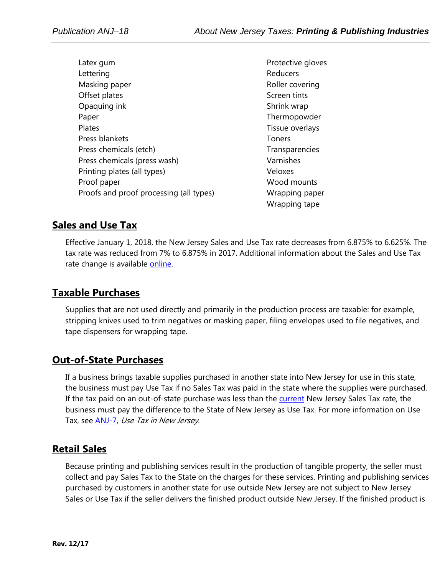Latex gum Lettering Masking paper Offset plates Opaquing ink Paper Plates Press blankets Press chemicals (etch) Press chemicals (press wash) Printing plates (all types) Proof paper Proofs and proof processing (all types)

Protective gloves Reducers Roller covering Screen tints Shrink wrap Thermopowder Tissue overlays Toners **Transparencies** Varnishes Veloxes Wood mounts Wrapping paper Wrapping tape

#### **Sales and Use Tax**

Effective January 1, 2018, the New Jersey Sales and Use Tax rate decreases from 6.875% to 6.625%. The tax rate was reduced from 7% to 6.875% in 2017. Additional information about the Sales and Use Tax rate change is available [online.](http://www.state.nj.us/treasury/taxation/ratechange/su-overview.shtml)

## **Taxable Purchases**

Supplies that are not used directly and primarily in the production process are taxable: for example, stripping knives used to trim negatives or masking paper, filing envelopes used to file negatives, and tape dispensers for wrapping tape.

#### **Out-of-State Purchases**

If a business brings taxable supplies purchased in another state into New Jersey for use in this state, the business must pay Use Tax if no Sales Tax was paid in the state where the supplies were purchased. If the tax paid on an out-of-state purchase was less than the [current](http://www.state.nj.us/treasury/taxation/ratechange/su-overview.shtml) New Jersey Sales Tax rate, the business must pay the difference to the State of New Jersey as Use Tax. For more information on Use Tax, see [ANJ-7,](http://www.state.nj.us/treasury/taxation/pdf/pubs/sales/anj7.pdf) Use Tax in New Jersey.

#### **Retail Sales**

Because printing and publishing services result in the production of tangible property, the seller must collect and pay Sales Tax to the State on the charges for these services. Printing and publishing services purchased by customers in another state for use outside New Jersey are not subject to New Jersey Sales or Use Tax if the seller delivers the finished product outside New Jersey. If the finished product is